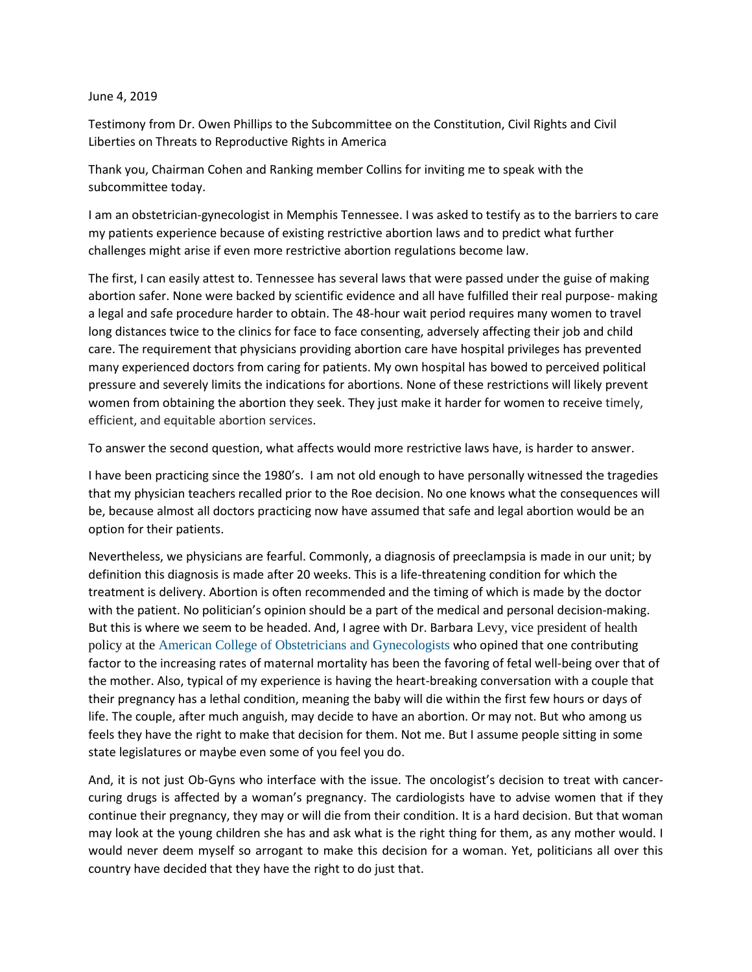## June 4, 2019

Testimony from Dr. Owen Phillips to the Subcommittee on the Constitution, Civil Rights and Civil Liberties on Threats to Reproductive Rights in America

Thank you, Chairman Cohen and Ranking member Collins for inviting me to speak with the subcommittee today.

I am an obstetrician-gynecologist in Memphis Tennessee. I was asked to testify as to the barriers to care my patients experience because of existing restrictive abortion laws and to predict what further challenges might arise if even more restrictive abortion regulations become law.

The first, I can easily attest to. Tennessee has several laws that were passed under the guise of making abortion safer. None were backed by scientific evidence and all have fulfilled their real purpose- making a legal and safe procedure harder to obtain. The 48-hour wait period requires many women to travel long distances twice to the clinics for face to face consenting, adversely affecting their job and child care. The requirement that physicians providing abortion care have hospital privileges has prevented many experienced doctors from caring for patients. My own hospital has bowed to perceived political pressure and severely limits the indications for abortions. None of these restrictions will likely prevent women from obtaining the abortion they seek. They just make it harder for women to receive timely, efficient, and equitable abortion services.

To answer the second question, what affects would more restrictive laws have, is harder to answer.

I have been practicing since the 1980's. I am not old enough to have personally witnessed the tragedies that my physician teachers recalled prior to the Roe decision. No one knows what the consequences will be, because almost all doctors practicing now have assumed that safe and legal abortion would be an option for their patients.

Nevertheless, we physicians are fearful. Commonly, a diagnosis of preeclampsia is made in our unit; by definition this diagnosis is made after 20 weeks. This is a life-threatening condition for which the treatment is delivery. Abortion is often recommended and the timing of which is made by the doctor with the patient. No politician's opinion should be a part of the medical and personal decision-making. But this is where we seem to be headed. And, I agree with Dr. Barbara Levy, vice president of health policy at the [American College of Obstetricians and Gynecologists](https://www.acog.org/) who opined that one contributing factor to the increasing rates of maternal mortality has been the favoring of fetal well-being over that of the mother. Also, typical of my experience is having the heart-breaking conversation with a couple that their pregnancy has a lethal condition, meaning the baby will die within the first few hours or days of life. The couple, after much anguish, may decide to have an abortion. Or may not. But who among us feels they have the right to make that decision for them. Not me. But I assume people sitting in some state legislatures or maybe even some of you feel you do.

And, it is not just Ob-Gyns who interface with the issue. The oncologist's decision to treat with cancercuring drugs is affected by a woman's pregnancy. The cardiologists have to advise women that if they continue their pregnancy, they may or will die from their condition. It is a hard decision. But that woman may look at the young children she has and ask what is the right thing for them, as any mother would. I would never deem myself so arrogant to make this decision for a woman. Yet, politicians all over this country have decided that they have the right to do just that.